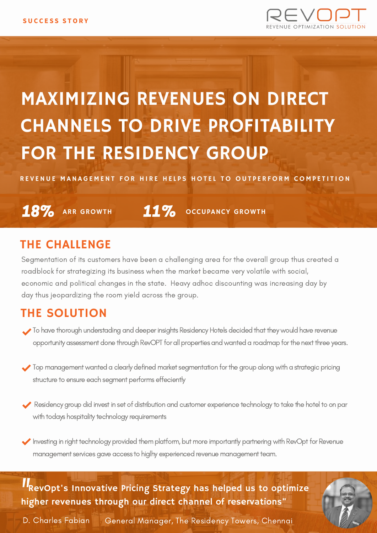

# MAXIMIZING REVENUES ON DIRECT CHANNELS TO DRIVE PROFITABILITY FOR THE RESIDENCY GROUP

REVENUE MANAGEMENT FOR HIRE HELPS HOTEL TO OUTPERFORM COMPETITION

18% ARR GROWTH 11% OCCUPANCY GROWTH

#### THE CHALLENGE

Segmentation of its customers have been a challenging area for the overall group thus created a roadblock for strategizing its business when the market became very volatile with social, economic and political changes in the state. Heavy adhoc discounting was increasing day by day thus jeopardizing the room yield across the group.

### THE SOLUTION

- To have thorough understading and deeper insights Residency Hotels decided that they would have revenue opportunity assessment done through RevOPT for all properties and wanted a roadmap for the next three years.
- $\blacktriangleright$  Top management wanted a clearly defined market segmentation for the group along with a strategic pricing structure to ensure each segment performs effeciently
- Residency group did invest in set of distribution and customer experience technology to take the hotel to on par with todays hospitality technology requirements
- Investing in right technology provided them platform, but more importantly partnering with RevOpt for Revenue management services gave access to higlhy experienced revenue management team.

RevOpt's Innovative Pricing Strategy has helped us to optimize higher revenues through our direct channel of reservations"  $\frac{1}{16}$ 

D. Charles Fabian General Manager, The Residency Towers, Chennai